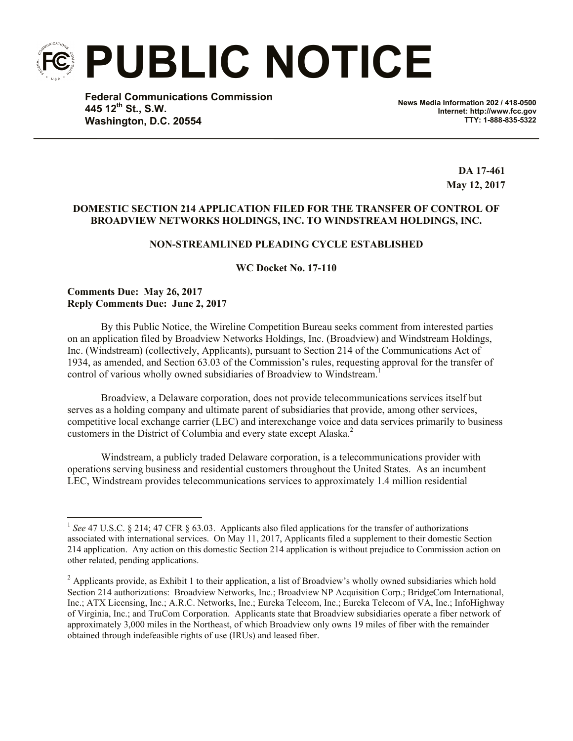**PUBLIC NOTICE**

**Federal Communications Commission 445 12th St., S.W. Washington, D.C. 20554**

**News Media Information 202 / 418-0500 Internet: http://www.fcc.gov TTY: 1-888-835-5322**

> **DA 17-461 May 12, 2017**

## **DOMESTIC SECTION 214 APPLICATION FILED FOR THE TRANSFER OF CONTROL OF BROADVIEW NETWORKS HOLDINGS, INC. TO WINDSTREAM HOLDINGS, INC.**

## **NON-STREAMLINED PLEADING CYCLE ESTABLISHED**

**WC Docket No. 17-110**

**Comments Due: May 26, 2017 Reply Comments Due: June 2, 2017**

l

By this Public Notice, the Wireline Competition Bureau seeks comment from interested parties on an application filed by Broadview Networks Holdings, Inc. (Broadview) and Windstream Holdings, Inc. (Windstream) (collectively, Applicants), pursuant to Section 214 of the Communications Act of 1934, as amended, and Section 63.03 of the Commission's rules, requesting approval for the transfer of control of various wholly owned subsidiaries of Broadview to Windstream.<sup>1</sup>

Broadview, a Delaware corporation, does not provide telecommunications services itself but serves as a holding company and ultimate parent of subsidiaries that provide, among other services, competitive local exchange carrier (LEC) and interexchange voice and data services primarily to business customers in the District of Columbia and every state except Alaska.<sup>2</sup>

Windstream, a publicly traded Delaware corporation, is a telecommunications provider with operations serving business and residential customers throughout the United States. As an incumbent LEC, Windstream provides telecommunications services to approximately 1.4 million residential

<sup>&</sup>lt;sup>1</sup> See 47 U.S.C. § 214; 47 CFR § 63.03. Applicants also filed applications for the transfer of authorizations associated with international services. On May 11, 2017, Applicants filed a supplement to their domestic Section 214 application. Any action on this domestic Section 214 application is without prejudice to Commission action on other related, pending applications.

<sup>&</sup>lt;sup>2</sup> Applicants provide, as Exhibit 1 to their application, a list of Broadview's wholly owned subsidiaries which hold Section 214 authorizations: Broadview Networks, Inc.; Broadview NP Acquisition Corp.; BridgeCom International, Inc.; ATX Licensing, Inc.; A.R.C. Networks, Inc.; Eureka Telecom, Inc.; Eureka Telecom of VA, Inc.; InfoHighway of Virginia, Inc.; and TruCom Corporation. Applicants state that Broadview subsidiaries operate a fiber network of approximately 3,000 miles in the Northeast, of which Broadview only owns 19 miles of fiber with the remainder obtained through indefeasible rights of use (IRUs) and leased fiber.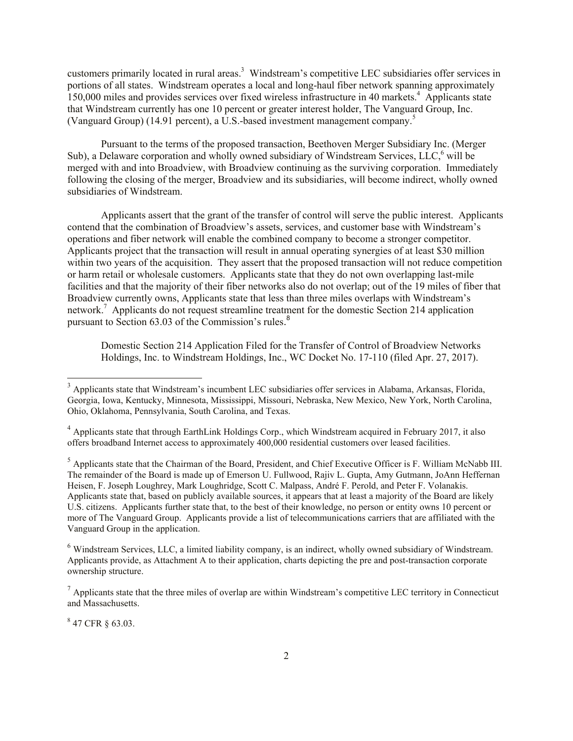customers primarily located in rural areas.<sup>3</sup> Windstream's competitive LEC subsidiaries offer services in portions of all states. Windstream operates a local and long-haul fiber network spanning approximately 150,000 miles and provides services over fixed wireless infrastructure in 40 markets. <sup>4</sup> Applicants state that Windstream currently has one 10 percent or greater interest holder, The Vanguard Group, Inc. (Vanguard Group) (14.91 percent), a U.S.-based investment management company.<sup>5</sup>

Pursuant to the terms of the proposed transaction, Beethoven Merger Subsidiary Inc. (Merger Sub), a Delaware corporation and wholly owned subsidiary of Windstream Services, LLC,<sup>6</sup> will be merged with and into Broadview, with Broadview continuing as the surviving corporation. Immediately following the closing of the merger, Broadview and its subsidiaries, will become indirect, wholly owned subsidiaries of Windstream.

Applicants assert that the grant of the transfer of control will serve the public interest. Applicants contend that the combination of Broadview's assets, services, and customer base with Windstream's operations and fiber network will enable the combined company to become a stronger competitor. Applicants project that the transaction will result in annual operating synergies of at least \$30 million within two years of the acquisition. They assert that the proposed transaction will not reduce competition or harm retail or wholesale customers. Applicants state that they do not own overlapping last-mile facilities and that the majority of their fiber networks also do not overlap; out of the 19 miles of fiber that Broadview currently owns, Applicants state that less than three miles overlaps with Windstream's network.<sup>7</sup> Applicants do not request streamline treatment for the domestic Section 214 application pursuant to Section 63.03 of the Commission's rules.<sup>8</sup>

Domestic Section 214 Application Filed for the Transfer of Control of Broadview Networks Holdings, Inc. to Windstream Holdings, Inc., WC Docket No. 17-110 (filed Apr. 27, 2017).

 $847$  CFR  $\S$  63.03.

l

<sup>&</sup>lt;sup>3</sup> Applicants state that Windstream's incumbent LEC subsidiaries offer services in Alabama, Arkansas, Florida, Georgia, Iowa, Kentucky, Minnesota, Mississippi, Missouri, Nebraska, New Mexico, New York, North Carolina, Ohio, Oklahoma, Pennsylvania, South Carolina, and Texas.

<sup>4</sup> Applicants state that through EarthLink Holdings Corp., which Windstream acquired in February 2017, it also offers broadband Internet access to approximately 400,000 residential customers over leased facilities.

<sup>&</sup>lt;sup>5</sup> Applicants state that the Chairman of the Board, President, and Chief Executive Officer is F. William McNabb III. The remainder of the Board is made up of Emerson U. Fullwood, Rajiv L. Gupta, Amy Gutmann, JoAnn Heffernan Heisen, F. Joseph Loughrey, Mark Loughridge, Scott C. Malpass, André F. Perold, and Peter F. Volanakis. Applicants state that, based on publicly available sources, it appears that at least a majority of the Board are likely U.S. citizens. Applicants further state that, to the best of their knowledge, no person or entity owns 10 percent or more of The Vanguard Group. Applicants provide a list of telecommunications carriers that are affiliated with the Vanguard Group in the application.

<sup>&</sup>lt;sup>6</sup> Windstream Services, LLC, a limited liability company, is an indirect, wholly owned subsidiary of Windstream. Applicants provide, as Attachment A to their application, charts depicting the pre and post-transaction corporate ownership structure.

 $<sup>7</sup>$  Applicants state that the three miles of overlap are within Windstream's competitive LEC territory in Connecticut</sup> and Massachusetts.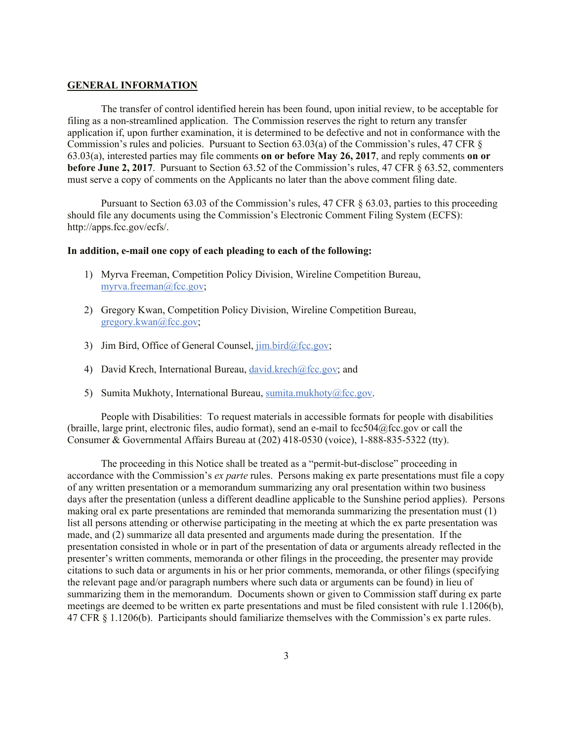## **GENERAL INFORMATION**

The transfer of control identified herein has been found, upon initial review, to be acceptable for filing as a non-streamlined application. The Commission reserves the right to return any transfer application if, upon further examination, it is determined to be defective and not in conformance with the Commission's rules and policies. Pursuant to Section 63.03(a) of the Commission's rules, 47 CFR § 63.03(a), interested parties may file comments **on or before May 26, 2017**, and reply comments **on or before June 2, 2017**. Pursuant to Section 63.52 of the Commission's rules, 47 CFR § 63.52, commenters must serve a copy of comments on the Applicants no later than the above comment filing date.

Pursuant to Section 63.03 of the Commission's rules, 47 CFR § 63.03, parties to this proceeding should file any documents using the Commission's Electronic Comment Filing System (ECFS): http://apps.fcc.gov/ecfs/.

## **In addition, e-mail one copy of each pleading to each of the following:**

- 1) Myrva Freeman, Competition Policy Division, Wireline Competition Bureau, myrva.freeman@fcc.gov;
- 2) Gregory Kwan, Competition Policy Division, Wireline Competition Bureau, gregory.kwan@fcc.gov;
- 3) Jim Bird, Office of General Counsel,  $\lim_{h \to 0} \frac{\text{bird}}{\text{det} \text{sec}}$ .gov;
- 4) David Krech, International Bureau, david.krech@fcc.gov; and
- 5) Sumita Mukhoty, International Bureau, sumita.mukhoty@fcc.gov.

People with Disabilities: To request materials in accessible formats for people with disabilities (braille, large print, electronic files, audio format), send an e-mail to fcc504@fcc.gov or call the Consumer & Governmental Affairs Bureau at (202) 418-0530 (voice), 1-888-835-5322 (tty).

The proceeding in this Notice shall be treated as a "permit-but-disclose" proceeding in accordance with the Commission's *ex parte* rules. Persons making ex parte presentations must file a copy of any written presentation or a memorandum summarizing any oral presentation within two business days after the presentation (unless a different deadline applicable to the Sunshine period applies). Persons making oral ex parte presentations are reminded that memoranda summarizing the presentation must (1) list all persons attending or otherwise participating in the meeting at which the ex parte presentation was made, and (2) summarize all data presented and arguments made during the presentation. If the presentation consisted in whole or in part of the presentation of data or arguments already reflected in the presenter's written comments, memoranda or other filings in the proceeding, the presenter may provide citations to such data or arguments in his or her prior comments, memoranda, or other filings (specifying the relevant page and/or paragraph numbers where such data or arguments can be found) in lieu of summarizing them in the memorandum. Documents shown or given to Commission staff during ex parte meetings are deemed to be written ex parte presentations and must be filed consistent with rule 1.1206(b), 47 CFR § 1.1206(b). Participants should familiarize themselves with the Commission's ex parte rules.